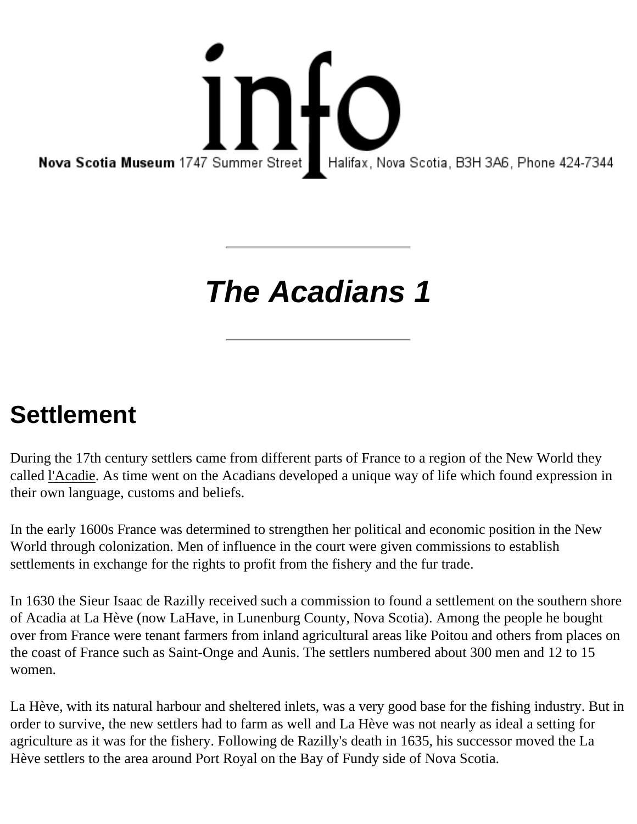17 Summer Street Halifax, Nova Nova Scotia Museum 1747 Summer Street Halifax, Nova Scotia, B3H 3A6, Phone 424-7344

## **The Acadians 1**

## **Settlement**

During the 17th century settlers came from different parts of France to a region of the New World they called l'Acadie. As time went on the Acadians developed a unique way of life which found expression in their own language, customs and beliefs.

In the early 1600s France was determined to strengthen her political and economic position in the New World through colonization. Men of influence in the court were given commissions to establish settlements in exchange for the rights to profit from the fishery and the fur trade.

In 1630 the Sieur Isaac de Razilly received such a commission to found a settlement on the southern shore of Acadia at La Hève (now LaHave, in Lunenburg County, Nova Scotia). Among the people he bought over from France were tenant farmers from inland agricultural areas like Poitou and others from places on the coast of France such as Saint-Onge and Aunis. The settlers numbered about 300 men and 12 to 15 women.

La Hève, with its natural harbour and sheltered inlets, was a very good base for the fishing industry. But in order to survive, the new settlers had to farm as well and La Hève was not nearly as ideal a setting for agriculture as it was for the fishery. Following de Razilly's death in 1635, his successor moved the La Hève settlers to the area around Port Royal on the Bay of Fundy side of Nova Scotia.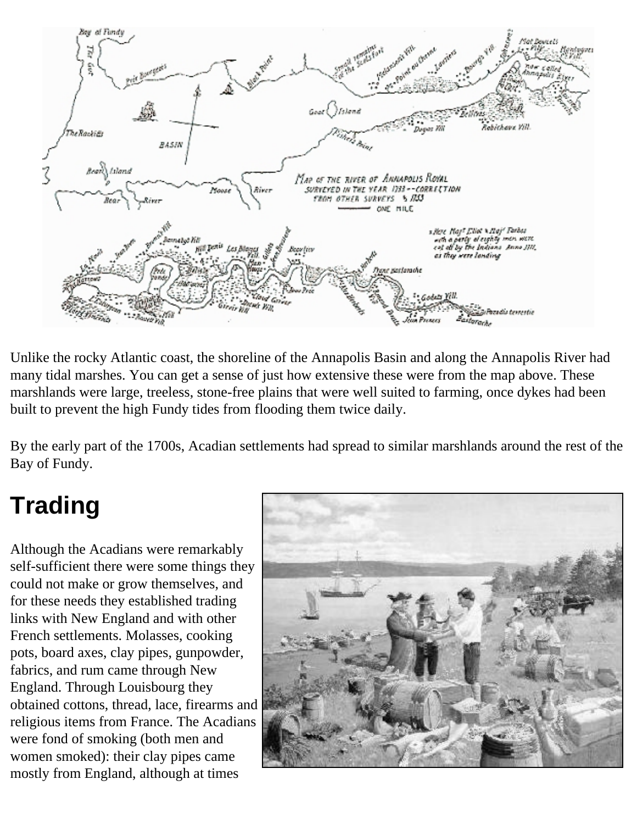

Unlike the rocky Atlantic coast, the shoreline of the Annapolis Basin and along the Annapolis River had many tidal marshes. You can get a sense of just how extensive these were from the map above. These marshlands were large, treeless, stone-free plains that were well suited to farming, once dykes had been built to prevent the high Fundy tides from flooding them twice daily.

By the early part of the 1700s, Acadian settlements had spread to similar marshlands around the rest of the Bay of Fundy.

## **Trading**

Although the Acadians were remarkably self-sufficient there were some things they could not make or grow themselves, and for these needs they established trading links with New England and with other French settlements. Molasses, cooking pots, board axes, clay pipes, gunpowder, fabrics, and rum came through New England. Through Louisbourg they obtained cottons, thread, lace, firearms and religious items from France. The Acadians were fond of smoking (both men and women smoked): their clay pipes came mostly from England, although at times

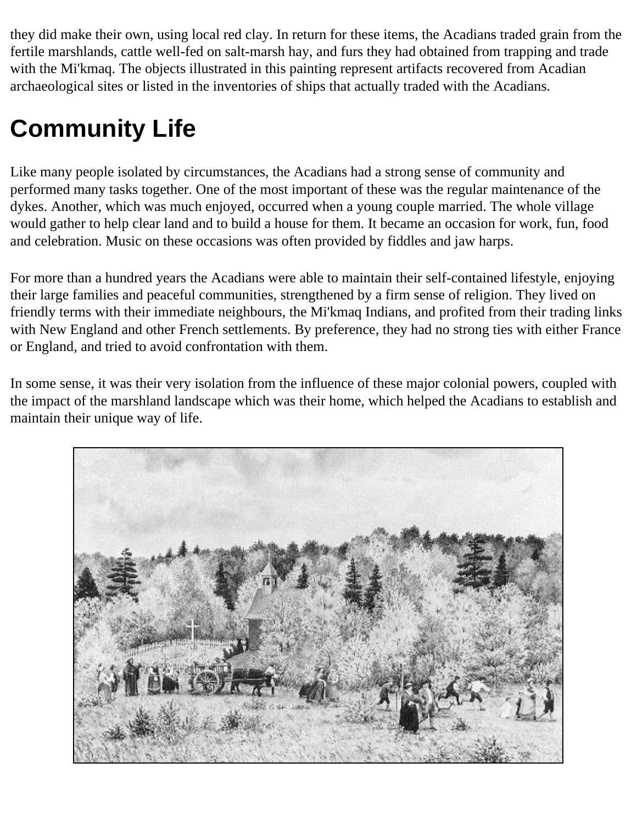they did make their own, using local red clay. In return for these items, the Acadians traded grain from the fertile marshlands, cattle well-fed on salt-marsh hay, and furs they had obtained from trapping and trade with the Mi'kmaq. The objects illustrated in this painting represent artifacts recovered from Acadian archaeological sites or listed in the inventories of ships that actually traded with the Acadians.

## **Community Life**

Like many people isolated by circumstances, the Acadians had a strong sense of community and performed many tasks together. One of the most important of these was the regular maintenance of the dykes. Another, which was much enjoyed, occurred when a young couple married. The whole village would gather to help clear land and to build a house for them. It became an occasion for work, fun, food and celebration. Music on these occasions was often provided by fiddles and jaw harps.

For more than a hundred years the Acadians were able to maintain their self-contained lifestyle, enjoying their large families and peaceful communities, strengthened by a firm sense of religion. They lived on friendly terms with their immediate neighbours, the Mi'kmaq Indians, and profited from their trading links with New England and other French settlements. By preference, they had no strong ties with either France or England, and tried to avoid confrontation with them.

In some sense, it was their very isolation from the influence of these major colonial powers, coupled with the impact of the marshland landscape which was their home, which helped the Acadians to establish and maintain their unique way of life.